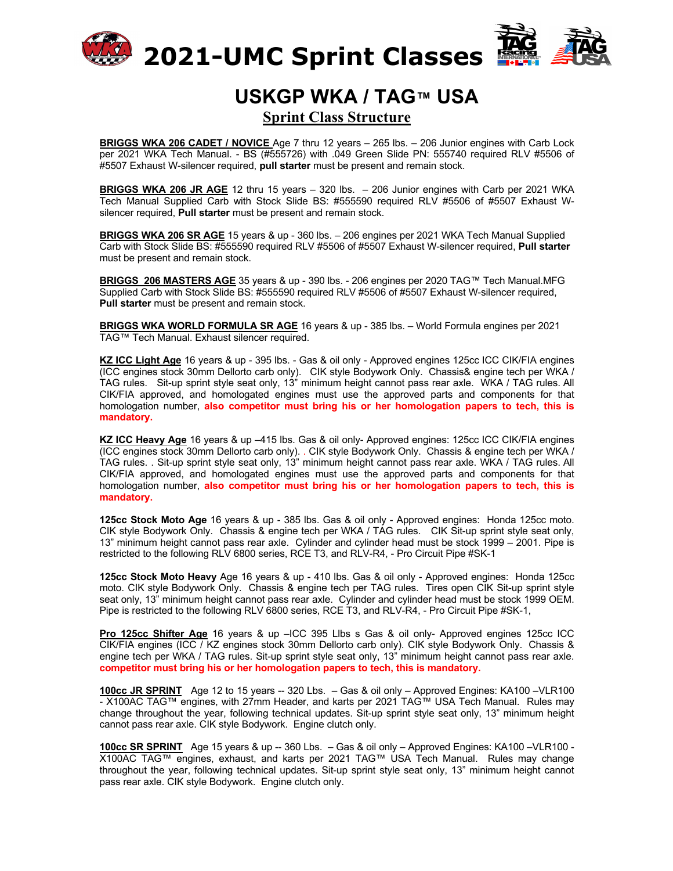



## **USKGP WKA / TAG™ USA Sprint Class Structure**

**BRIGGS WKA 206 CADET / NOVICE** Age 7 thru 12 years – 265 lbs. – 206 Junior engines with Carb Lock per 2021 WKA Tech Manual. - BS (#555726) with .049 Green Slide PN: 555740 required RLV #5506 of #5507 Exhaust W-silencer required, **pull starter** must be present and remain stock.

**BRIGGS WKA 206 JR AGE** 12 thru 15 years – 320 lbs. – 206 Junior engines with Carb per 2021 WKA Tech Manual Supplied Carb with Stock Slide BS: #555590 required RLV #5506 of #5507 Exhaust Wsilencer required, **Pull starter** must be present and remain stock.

**BRIGGS WKA 206 SR AGE** 15 years & up - 360 lbs. – 206 engines per 2021 WKA Tech Manual Supplied Carb with Stock Slide BS: #555590 required RLV #5506 of #5507 Exhaust W-silencer required, **Pull starter** must be present and remain stock.

**BRIGGS 206 MASTERS AGE** 35 years & up - 390 lbs. - 206 engines per 2020 TAG™ Tech Manual.MFG Supplied Carb with Stock Slide BS: #555590 required RLV #5506 of #5507 Exhaust W-silencer required, **Pull starter** must be present and remain stock.

**BRIGGS WKA WORLD FORMULA SR AGE** 16 years & up - 385 lbs. – World Formula engines per 2021 TAG™ Tech Manual. Exhaust silencer required.

**KZ ICC Light Age** 16 years & up - 395 lbs. - Gas & oil only - Approved engines 125cc ICC CIK/FIA engines (ICC engines stock 30mm Dellorto carb only). CIK style Bodywork Only. Chassis& engine tech per WKA / TAG rules. Sit-up sprint style seat only, 13" minimum height cannot pass rear axle. WKA / TAG rules. All CIK/FIA approved, and homologated engines must use the approved parts and components for that homologation number, **also competitor must bring his or her homologation papers to tech, this is mandatory.**

**KZ ICC Heavy Age** 16 years & up –415 lbs. Gas & oil only- Approved engines: 125cc ICC CIK/FIA engines (ICC engines stock 30mm Dellorto carb only). . CIK style Bodywork Only. Chassis & engine tech per WKA / TAG rules. . Sit-up sprint style seat only, 13" minimum height cannot pass rear axle. WKA / TAG rules. All CIK/FIA approved, and homologated engines must use the approved parts and components for that homologation number, **also competitor must bring his or her homologation papers to tech, this is mandatory.**

**125cc Stock Moto Age** 16 years & up - 385 lbs. Gas & oil only - Approved engines: Honda 125cc moto. CIK style Bodywork Only. Chassis & engine tech per WKA / TAG rules. CIK Sit-up sprint style seat only, 13" minimum height cannot pass rear axle. Cylinder and cylinder head must be stock 1999 – 2001. Pipe is restricted to the following RLV 6800 series, RCE T3, and RLV-R4, - Pro Circuit Pipe #SK-1

**125cc Stock Moto Heavy** Age 16 years & up - 410 lbs. Gas & oil only - Approved engines: Honda 125cc moto. CIK style Bodywork Only. Chassis & engine tech per TAG rules. Tires open CIK Sit-up sprint style seat only, 13" minimum height cannot pass rear axle. Cylinder and cylinder head must be stock 1999 OEM. Pipe is restricted to the following RLV 6800 series, RCE T3, and RLV-R4, - Pro Circuit Pipe #SK-1,

**Pro 125cc Shifter Age** 16 years & up –ICC 395 Llbs s Gas & oil only- Approved engines 125cc ICC CIK/FIA engines (ICC / KZ engines stock 30mm Dellorto carb only). CIK style Bodywork Only. Chassis & engine tech per WKA / TAG rules. Sit-up sprint style seat only, 13" minimum height cannot pass rear axle. **competitor must bring his or her homologation papers to tech, this is mandatory.**

**100cc JR SPRINT** Age 12 to 15 years -- 320 Lbs. – Gas & oil only – Approved Engines: KA100 –VLR100 - X100AC TAG™ engines, with 27mm Header, and karts per 2021 TAG™ USA Tech Manual. Rules may change throughout the year, following technical updates. Sit-up sprint style seat only, 13" minimum height cannot pass rear axle. CIK style Bodywork. Engine clutch only.

**100cc SR SPRINT** Age 15 years & up -- 360 Lbs. – Gas & oil only – Approved Engines: KA100 –VLR100 - X100AC TAG™ engines, exhaust, and karts per 2021 TAG™ USA Tech Manual. Rules may change throughout the year, following technical updates. Sit-up sprint style seat only, 13" minimum height cannot pass rear axle. CIK style Bodywork. Engine clutch only.